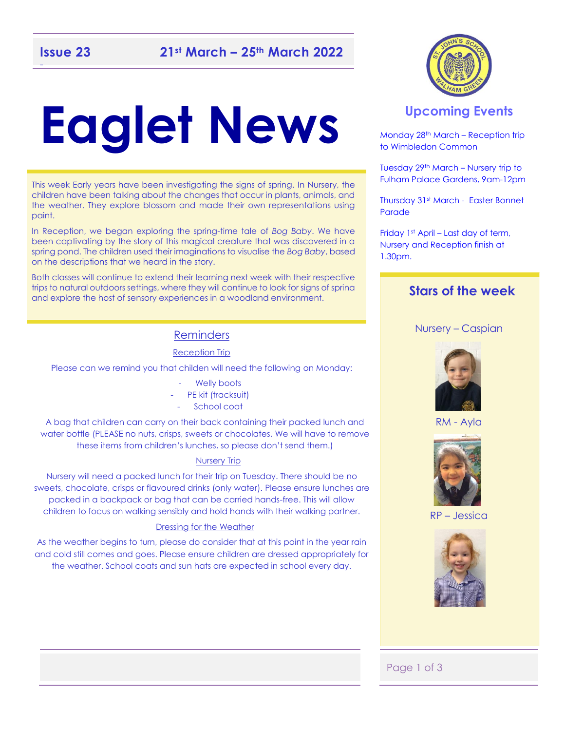# **Eaglet News**

This week Early years have been investigating the signs of spring. In Nursery, the children have been talking about the changes that occur in plants, animals, and the weather. They explore blossom and made their own representations using paint.

In Reception, we began exploring the spring-time tale of *Bog Baby*. We have been captivating by the story of this magical creature that was discovered in a spring pond. The children used their imaginations to visualise the *Bog Baby*, based on the descriptions that we heard in the story.

Both classes will continue to extend their learning next week with their respective trips to natural outdoors settings, where they will continue to look for signs of sprina and explore the host of sensory experiences in a woodland environment.

### **Reminders**

### Reception Trip

Please can we remind you that childen will need the following on Monday:

- Welly boots
- PE kit (tracksuit)
- School coat

A bag that children can carry on their back containing their packed lunch and water bottle (PLEASE no nuts, crisps, sweets or chocolates. We will have to remove these items from children's lunches, so please don't send them.)

#### Nursery Trip

Nursery will need a packed lunch for their trip on Tuesday. There should be no sweets, chocolate, crisps or flavoured drinks (only water). Please ensure lunches are packed in a backpack or bag that can be carried hands-free. This will allow children to focus on walking sensibly and hold hands with their walking partner.

#### Dressing for the Weather

As the weather begins to turn, please do consider that at this point in the year rain and cold still comes and goes. Please ensure children are dressed appropriately for the weather. School coats and sun hats are expected in school every day.



### **Upcoming Events**

Monday 28th March – Reception trip to Wimbledon Common

Tuesday 29th March – Nursery trip to Fulham Palace Gardens, 9am-12pm

Thursday 31st March - Easter Bonnet Parade

Friday 1st April – Last day of term, Nursery and Reception finish at 1.30pm.

### **Stars of the week**

### Nursery – Caspian



RM - Ayla



RP – Jessica



### Page 1 of 3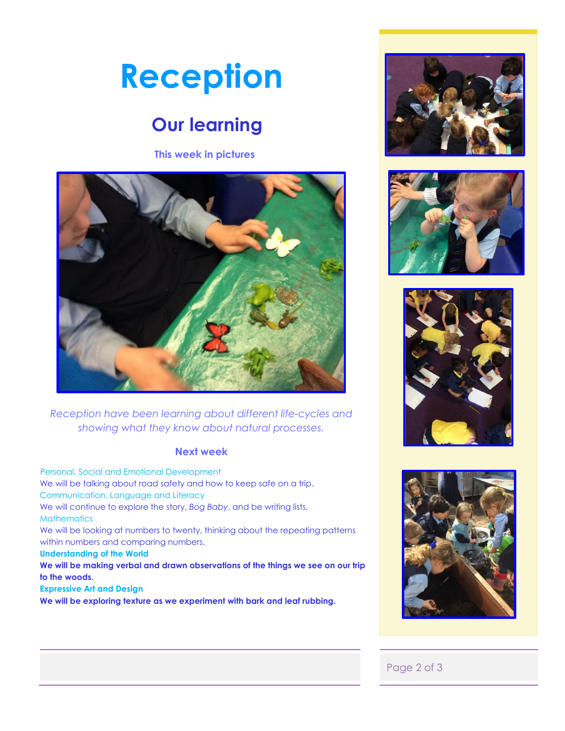# **Reception**

### **Our learning**

**This week in pictures**



*Reception have been learning about different life-cycles and showing what they know about natural processes.* 

### **Next week**

 Personal, Social and Emotional Development We will be talking about road safety and how to keep safe on a trip. Communication, Language and Literacy We will continue to explore the story, *Bog Baby*, and be writing lists. **Mathematics** We will be looking at numbers to twenty, thinking about the repeating patterns within numbers and comparing numbers. **Understanding of the World We will be making verbal and drawn observations of the things we see on our trip to the woods. Expressive Art and Design** 

**We will be exploring texture as we experiment with bark and leaf rubbing.** 









### Page 2 of 3